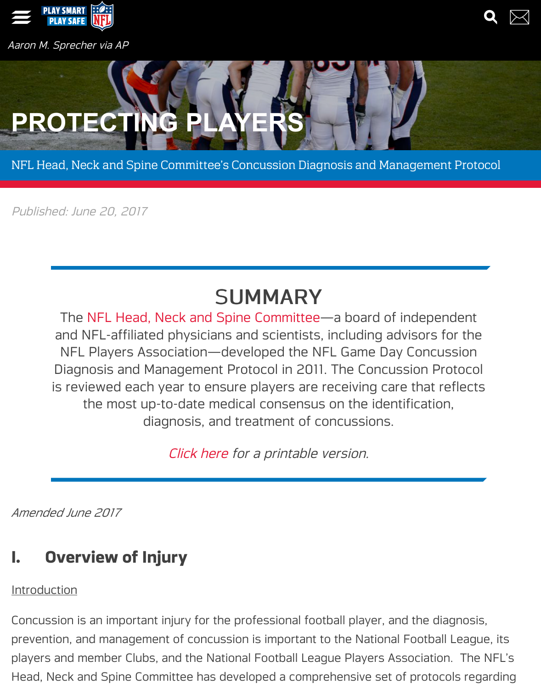# **P[ROTEC](https://www.playsmartplaysafe.com/)TING P**

NFL Head, Neck and Spine Committee's Concussion Diagnosis and Management F

Published: June 20, 2017

## SUMMARY

The NFL Head, Neck and Spine Committee—a board of independent and NFL-affiliated physicians and scientists, including advisors for NFL Players Association—developed the NFL Game Day Concuss Diagnosis and Management Protocol in 2011. The Concussion Prote is reviewed each year to ensure players are receiving care that refl [the most up-to-date medical consensus](https://www.playsmartplaysafe.com/resource/nfl-head-neck-and-spine-committee/) on the identification, diagnosis, and treatment of concussions.

Click here for a printable version.

*Amended June 2017*

### **I. Overview of Inj[ury](http://www.playsmartplaysafe.com/wp-content/uploads/2017/06/2017-nfl-concussion-protocol.pdf)**

**Introduction** 

Concussion is an important injury for the professional football player, and the diagr prevention, and management of concussion is important to the National Football Le players and member Clubs, and the National Football League Players Association. Head, Neck and Spine Committee has developed a comprehensive set of protocols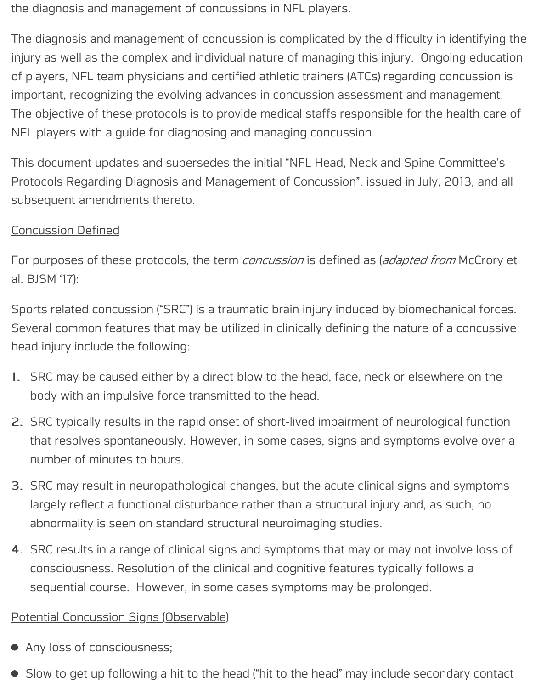the diagnosis and management of concussions in NFL players.

The diagnosis and management of concussion is complicated by the difficulty in identifying the injury as well as the complex and individual nature of managing this injury. Ongoing education of players, NFL team physicians and certified athletic trainers (ATCs) regarding concussion is important, recognizing the evolving advances in concussion assessment and management. The objective of these protocols is to provide medical staffs responsible for the health care of NFL players with a guide for diagnosing and managing concussion.

This document updates and supersedes the initial "NFL Head, Neck and Spine Committee's Protocols Regarding Diagnosis and Management of Concussion", issued in July, 2013, and all subsequent amendments thereto.

### Concussion Defined

For purposes of these protocols, the term *concussion* is defined as (*adapted from* McCrory et al. BJSM '17):

Sports related concussion ("SRC") is a traumatic brain injury induced by biomechanical forces. Several common features that may be utilized in clinically defining the nature of a concussive head injury include the following:

- 1. SRC may be caused either by a direct blow to the head, face, neck or elsewhere on the body with an impulsive force transmitted to the head.
- 2. SRC typically results in the rapid onset of short-lived impairment of neurological function that resolves spontaneously. However, in some cases, signs and symptoms evolve over a number of minutes to hours.
- 3. SRC may result in neuropathological changes, but the acute clinical signs and symptoms largely reflect a functional disturbance rather than a structural injury and, as such, no abnormality is seen on standard structural neuroimaging studies.
- 4. SRC results in a range of clinical signs and symptoms that may or may not involve loss of consciousness. Resolution of the clinical and cognitive features typically follows a sequential course. However, in some cases symptoms may be prolonged.

### Potential Concussion Signs (Observable)

- Any loss of consciousness;
- Slow to get up following a hit to the head ("hit to the head" may include secondary contact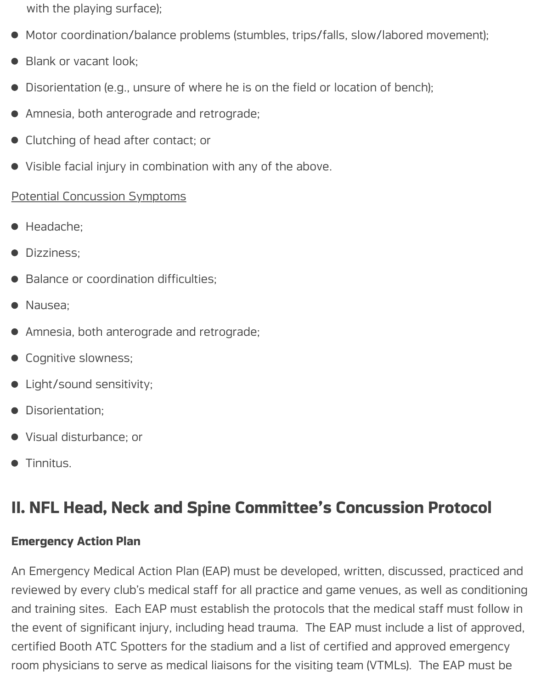with the playing surface);

- Motor coordination/balance problems (stumbles, trips/falls, slow/labored movement);
- Blank or vacant look;
- Disorientation (e.g., unsure of where he is on the field or location of bench);
- Amnesia, both anterograde and retrograde;
- **•** Clutching of head after contact; or
- Visible facial injury in combination with any of the above.

### Potential Concussion Symptoms

- Headache;
- **·** Dizziness;
- Balance or coordination difficulties;
- Nausea:
- Amnesia, both anterograde and retrograde;
- **•** Cognitive slowness;
- Light/sound sensitivity;
- Disorientation:
- Visual disturbance; or
- Tinnitus.

### **II. NFL Head, Neck and Spine Committee's Concussion Protocol**

### **Emergency Action Plan**

An Emergency Medical Action Plan (EAP) must be developed, written, discussed, practiced and reviewed by every club's medical staff for all practice and game venues, as well as conditioning and training sites. Each EAP must establish the protocols that the medical staff must follow in the event of significant injury, including head trauma. The EAP must include a list of approved, certified Booth ATC Spotters for the stadium and a list of certified and approved emergency room physicians to serve as medical liaisons for the visiting team (VTMLs). The EAP must be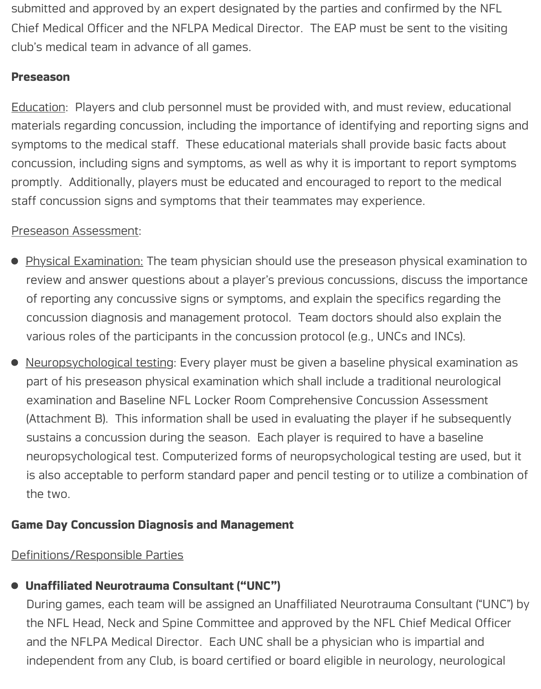submitted and approved by an expert designated by the parties and confirmed by the NFL Chief Medical Officer and the NFLPA Medical Director. The EAP must be sent to the visiting club's medical team in advance of all games.

### **Preseason**

Education: Players and club personnel must be provided with, and must review, educational materials regarding concussion, including the importance of identifying and reporting signs and symptoms to the medical staff. These educational materials shall provide basic facts about concussion, including signs and symptoms, as well as why it is important to report symptoms promptly. Additionally, players must be educated and encouraged to report to the medical staff concussion signs and symptoms that their teammates may experience.

### Preseason Assessment:

- Physical Examination: The team physician should use the preseason physical examination to review and answer questions about a player's previous concussions, discuss the importance of reporting any concussive signs or symptoms, and explain the specifics regarding the concussion diagnosis and management protocol. Team doctors should also explain the various roles of the participants in the concussion protocol (e.g., UNCs and INCs).
- Neuropsychological testing: Every player must be given a baseline physical examination as  $\bullet$ part of his preseason physical examination which shall include a traditional neurological examination and Baseline NFL Locker Room Comprehensive Concussion Assessment (Attachment B). This information shall be used in evaluating the player if he subsequently sustains a concussion during the season. Each player is required to have a baseline neuropsychological test. Computerized forms of neuropsychological testing are used, but it is also acceptable to perform standard paper and pencil testing or to utilize a combination of the two.

### **Game Day Concussion Diagnosis and Management**

### Definitions/Responsible Parties

### **Unaffiliated Neurotrauma Consultant ("UNC")**

During games, each team will be assigned an Unaffiliated Neurotrauma Consultant ("UNC") by the NFL Head, Neck and Spine Committee and approved by the NFL Chief Medical Officer and the NFLPA Medical Director. Each UNC shall be a physician who is impartial and independent from any Club, is board certified or board eligible in neurology, neurological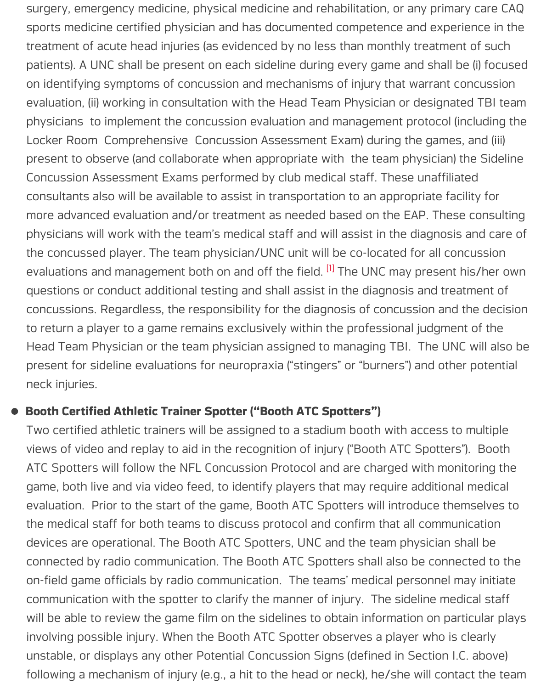evaluation, (ii) working in consultation with the Head Team Physician or designat physicians to implement the concussion evaluation and management protocol (in Locker Room Comprehensive Concussion Assessment Exam) during the games present to observe (and collaborate when appropriate with the team physician) Concussion Assessment Exams performed by club medical staff. These unaffilia consultants also will be available to assist in transportation to an appropriate face more advanced evaluation and/or treatment as needed based on the EAP. These physicians will work with the team's medical staff and will assist in the diagnosis the concussed player. The team physician/UNC unit will be co-located for all cor evaluations and management both on and off the field. <sup>[1]</sup> The UNC may present questions or conduct additional testing and shall assist in the diagnosis and trea concussions. Regardless, the responsibility for the diagnosis of concussion and to return a player to a game remains exclusively within the professional judgment Head Team Physician or the team physician assigned to managing TBI. The UN present for sideline evaluations for neuropraxia ("sting[ers](#page-16-0)" or "burners") and other neck injuries.

#### **Booth Certified Athletic Trainer Spotter ("Booth ATC Spotters")**

<span id="page-4-0"></span>Two certified athletic trainers will be assigned to a stadium booth with access to views of video and replay to aid in the recognition of injury ("Booth ATC Spotters"). ATC Spotters will follow the NFL Concussion Protocol and are charged with mor game, both live and via video feed, to identify players that may require additional evaluation. Prior to the start of the game, Booth ATC Spotters will introduce the the medical staff for both teams to discuss protocol and confirm that all communication devices are operational. The Booth ATC Spotters, UNC and the team physician s connected by radio communication. The Booth ATC Spotters shall also be conne on-field game officials by radio communication. The teams' medical personnel n communication with the spotter to clarify the manner of injury. The sideline medical state will be able to review the game film on the sidelines to obtain information on particular plays involving possible injury. When the Booth ATC Spotter observes a player who is unstable, or displays any other Potential Concussion Signs (defined in Section I. following a mechanism of injury (e.g., a hit to the head or neck), he/she will cont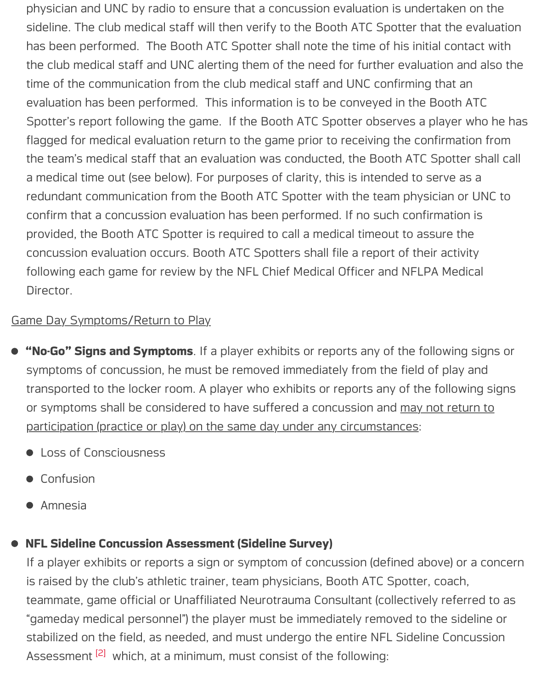evaluation has been performed. This information is to be conveyed in the Booth Spotter's report following the game. If the Booth ATC Spotter observes a player flagged for medical evaluation return to the game prior to receiving the confirmation from the team's medical staff that an evaluation was conducted, the Booth ATC Spott a medical time out (see below). For purposes of clarity, this is intended to serve redundant communication from the Booth ATC Spotter with the team physician confirm that a concussion evaluation has been performed. If no such confirmation provided, the Booth ATC Spotter is required to call a medical timeout to assure t concussion evaluation occurs. Booth ATC Spotters shall file a report of their acti following each game for review by the NFL Chief Medical Officer and NFLPA Medical Director.

### Game Day Symptoms/Return to Play

- "No-Go" Signs and Symptoms. If a player exhibits or reports any of the following symptoms of concussion, he must be removed immediately from the field of play transported to the locker room. A player who exhibits or reports any of the follo or symptoms shall be considered to have suffered a concussion and may not return to participation (practice or play) on the same day under any circumstances:
	- **Loss of Consciousness**
	- **•** Confusion
	- **•** Amnesia

### **NFL Sideline Concussion Assessment (Sideline Survey)**

<span id="page-5-0"></span>If a player exhibits or reports a sign or symptom of concussion (defined above) or is raised by the club's athletic trainer, team physicians, Booth ATC Spotter, coac teammate, game official or Unaffiliated Neurotrauma Consultant (collectively refe "gameday medical personnel") the player must be immediately removed to the si stabilized on the field, as needed, and must undergo the entire NFL Sideline Cor Assessment <sup>[2]</sup> which, at a minimum, must consist of the following: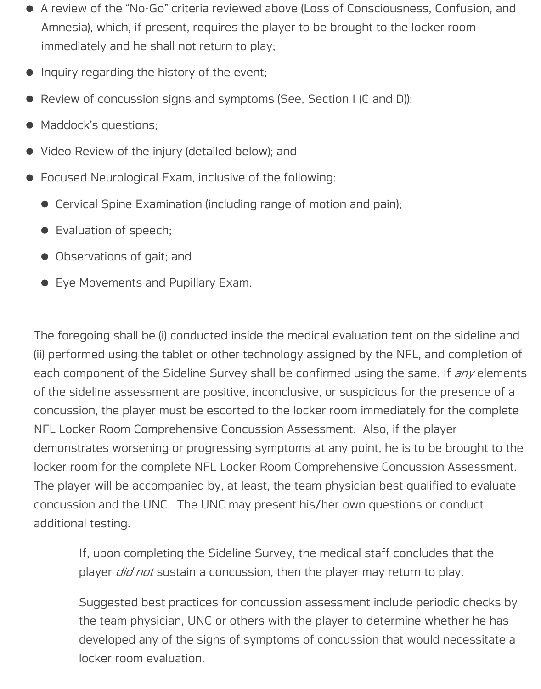- A review of the "No-Go" criteria reviewed above (Loss of Consciousness, Confusion, and Amnesia), which, if present, requires the player to be brought to the locker room immediately and he shall not return to play;
- Inquiry regarding the history of the event;
- Review of concussion signs and symptoms (See, Section I (C and D));  $\bullet$
- Maddock's questions;
- Video Review of the injury (detailed below); and
- Focused Neurological Exam, inclusive of the following:
	- Cervical Spine Examination (including range of motion and pain);
	- **•** Evaluation of speech;
	- Observations of gait; and
	- Eye Movements and Pupillary Exam.

The foregoing shall be (i) conducted inside the medical evaluation tent on the sideline and (ii) performed using the tablet or other technology assigned by the NFL, and completion of each component of the Sideline Survey shall be confirmed using the same. If *any* elements of the sideline assessment are positive, inconclusive, or suspicious for the presence of a concussion, the player must be escorted to the locker room immediately for the complete NFL Locker Room Comprehensive Concussion Assessment. Also, if the player demonstrates worsening or progressing symptoms at any point, he is to be brought to the locker room for the complete NFL Locker Room Comprehensive Concussion Assessment. The player will be accompanied by, at least, the team physician best qualified to evaluate concussion and the UNC. The UNC may present his/her own questions or conduct additional testing.

If, upon completing the Sideline Survey, the medical staff concludes that the player *did not* sustain a concussion, then the player may return to play.

Suggested best practices for concussion assessment include periodic checks by the team physician, UNC or others with the player to determine whether he has developed any of the signs of symptoms of concussion that would necessitate a locker room evaluation.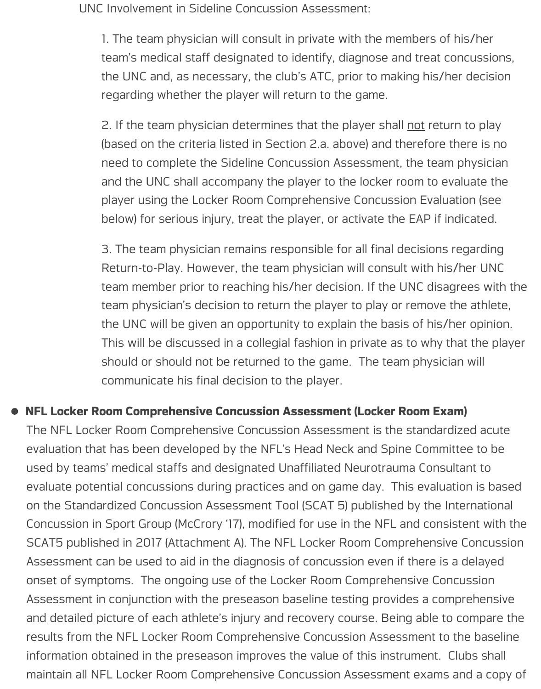UNC Involvement in Sideline Concussion Assessment:

1. The team physician will consult in private with the members of his/her team's medical staff designated to identify, diagnose and treat concussions, the UNC and, as necessary, the club's ATC, prior to making his/her decision regarding whether the player will return to the game.

2. If the team physician determines that the player shall not return to play (based on the criteria listed in Section 2.a. above) and therefore there is no need to complete the Sideline Concussion Assessment, the team physician and the UNC shall accompany the player to the locker room to evaluate the player using the Locker Room Comprehensive Concussion Evaluation (see below) for serious injury, treat the player, or activate the EAP if indicated.

3. The team physician remains responsible for all final decisions regarding Return-to-Play. However, the team physician will consult with his/her UNC team member prior to reaching his/her decision. If the UNC disagrees with the team physician's decision to return the player to play or remove the athlete, the UNC will be given an opportunity to explain the basis of his/her opinion. This will be discussed in a collegial fashion in private as to why that the player should or should not be returned to the game. The team physician will communicate his final decision to the player.

### **NFL Locker Room Comprehensive Concussion Assessment (Locker Room Exam)**

The NFL Locker Room Comprehensive Concussion Assessment is the standardized acute evaluation that has been developed by the NFL's Head Neck and Spine Committee to be used by teams' medical staffs and designated Unaffiliated Neurotrauma Consultant to evaluate potential concussions during practices and on game day. This evaluation is based on the Standardized Concussion Assessment Tool (SCAT 5) published by the International Concussion in Sport Group (McCrory '17), modified for use in the NFL and consistent with the SCAT5 published in 2017 (Attachment A). The NFL Locker Room Comprehensive Concussion Assessment can be used to aid in the diagnosis of concussion even if there is a delayed onset of symptoms. The ongoing use of the Locker Room Comprehensive Concussion Assessment in conjunction with the preseason baseline testing provides a comprehensive and detailed picture of each athlete's injury and recovery course. Being able to compare the results from the NFL Locker Room Comprehensive Concussion Assessment to the baseline information obtained in the preseason improves the value of this instrument. Clubs shall maintain all NFL Locker Room Comprehensive Concussion Assessment exams and a copy of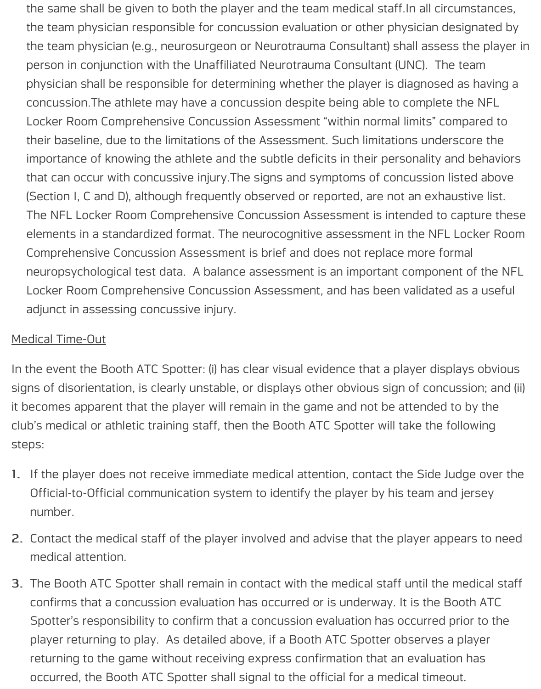the same shall be given to both the player and the team medical staff.In all circumstances, the team physician responsible for concussion evaluation or other physician designated by the team physician (e.g., neurosurgeon or Neurotrauma Consultant) shall assess the player in person in conjunction with the Unaffiliated Neurotrauma Consultant (UNC). The team physician shall be responsible for determining whether the player is diagnosed as having a concussion.The athlete may have a concussion despite being able to complete the NFL Locker Room Comprehensive Concussion Assessment "within normal limits" compared to their baseline, due to the limitations of the Assessment. Such limitations underscore the importance of knowing the athlete and the subtle deficits in their personality and behaviors that can occur with concussive injury.The signs and symptoms of concussion listed above (Section I, C and D), although frequently observed or reported, are not an exhaustive list. The NFL Locker Room Comprehensive Concussion Assessment is intended to capture these elements in a standardized format. The neurocognitive assessment in the NFL Locker Room Comprehensive Concussion Assessment is brief and does not replace more formal neuropsychological test data. A balance assessment is an important component of the NFL Locker Room Comprehensive Concussion Assessment, and has been validated as a useful adjunct in assessing concussive injury.

### Medical Time-Out

In the event the Booth ATC Spotter: (i) has clear visual evidence that a player displays obvious signs of disorientation, is clearly unstable, or displays other obvious sign of concussion; and (ii) it becomes apparent that the player will remain in the game and not be attended to by the club's medical or athletic training staff, then the Booth ATC Spotter will take the following steps:

- If the player does not receive immediate medical attention, contact the Side Judge over the 1. Official-to-Official communication system to identify the player by his team and jersey number.
- 2. Contact the medical staff of the player involved and advise that the player appears to need medical attention.
- 3. The Booth ATC Spotter shall remain in contact with the medical staff until the medical staff confirms that a concussion evaluation has occurred or is underway. It is the Booth ATC Spotter's responsibility to confirm that a concussion evaluation has occurred prior to the player returning to play. As detailed above, if a Booth ATC Spotter observes a player returning to the game without receiving express confirmation that an evaluation has occurred, the Booth ATC Spotter shall signal to the official for a medical timeout.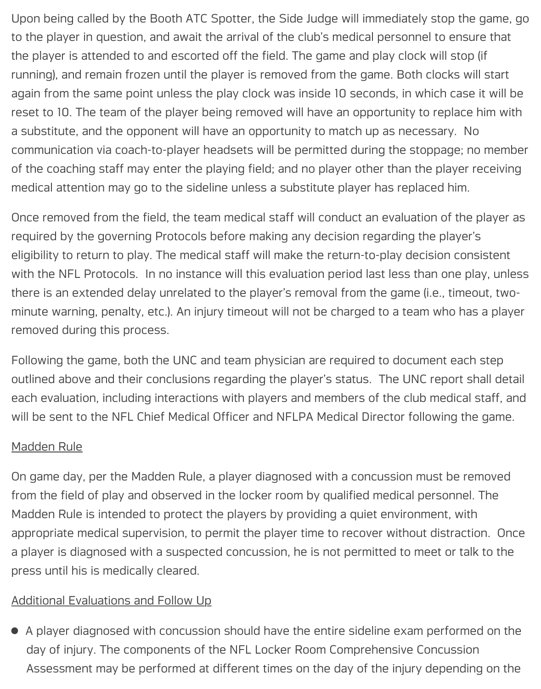Upon being called by the Booth ATC Spotter, the Side Judge will immediately stop the game, go to the player in question, and await the arrival of the club's medical personnel to ensure that the player is attended to and escorted off the field. The game and play clock will stop (if running), and remain frozen until the player is removed from the game. Both clocks will start again from the same point unless the play clock was inside 10 seconds, in which case it will be reset to 10. The team of the player being removed will have an opportunity to replace him with a substitute, and the opponent will have an opportunity to match up as necessary. No communication via coach-to-player headsets will be permitted during the stoppage; no member of the coaching staff may enter the playing field; and no player other than the player receiving medical attention may go to the sideline unless a substitute player has replaced him.

Once removed from the field, the team medical staff will conduct an evaluation of the player as required by the governing Protocols before making any decision regarding the player's eligibility to return to play. The medical staff will make the return-to-play decision consistent with the NFL Protocols. In no instance will this evaluation period last less than one play, unless there is an extended delay unrelated to the player's removal from the game (i.e., timeout, twominute warning, penalty, etc.). An injury timeout will not be charged to a team who has a player removed during this process.

Following the game, both the UNC and team physician are required to document each step outlined above and their conclusions regarding the player's status. The UNC report shall detail each evaluation, including interactions with players and members of the club medical staff, and will be sent to the NFL Chief Medical Officer and NFLPA Medical Director following the game.

#### Madden Rule

On game day, per the Madden Rule, a player diagnosed with a concussion must be removed from the field of play and observed in the locker room by qualified medical personnel. The Madden Rule is intended to protect the players by providing a quiet environment, with appropriate medical supervision, to permit the player time to recover without distraction. Once a player is diagnosed with a suspected concussion, he is not permitted to meet or talk to the press until his is medically cleared.

### Additional Evaluations and Follow Up

A player diagnosed with concussion should have the entire sideline exam performed on the day of injury. The components of the NFL Locker Room Comprehensive Concussion Assessment may be performed at different times on the day of the injury depending on the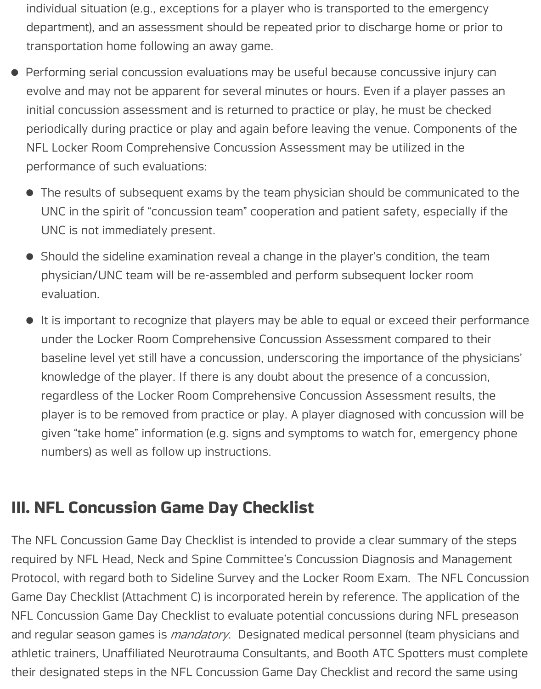individual situation (e.g., exceptions for a player who is transported to the emergency department), and an assessment should be repeated prior to discharge home or prior to transportation home following an away game.

- Performing serial concussion evaluations may be useful because concussive injury can  $\bullet$ evolve and may not be apparent for several minutes or hours. Even if a player passes an initial concussion assessment and is returned to practice or play, he must be checked periodically during practice or play and again before leaving the venue. Components of the NFL Locker Room Comprehensive Concussion Assessment may be utilized in the performance of such evaluations:
	- The results of subsequent exams by the team physician should be communicated to the UNC in the spirit of "concussion team" cooperation and patient safety, especially if the UNC is not immediately present.
	- Should the sideline examination reveal a change in the player's condition, the team physician/UNC team will be re-assembled and perform subsequent locker room evaluation.
	- It is important to recognize that players may be able to equal or exceed their performance  $\bullet$ under the Locker Room Comprehensive Concussion Assessment compared to their baseline level yet still have a concussion, underscoring the importance of the physicians' knowledge of the player. If there is any doubt about the presence of a concussion, regardless of the Locker Room Comprehensive Concussion Assessment results, the player is to be removed from practice or play. A player diagnosed with concussion will be given "take home" information (e.g. signs and symptoms to watch for, emergency phone numbers) as well as follow up instructions.

### **III. NFL Concussion Game Day Checklist**

The NFL Concussion Game Day Checklist is intended to provide a clear summary of the steps required by NFL Head, Neck and Spine Committee's Concussion Diagnosis and Management Protocol, with regard both to Sideline Survey and the Locker Room Exam. The NFL Concussion Game Day Checklist (Attachment C) is incorporated herein by reference. The application of the NFL Concussion Game Day Checklist to evaluate potential concussions during NFL preseason and regular season games is *mandatory*. Designated medical personnel (team physicians and athletic trainers, Unaffiliated Neurotrauma Consultants, and Booth ATC Spotters must complete their designated steps in the NFL Concussion Game Day Checklist and record the same using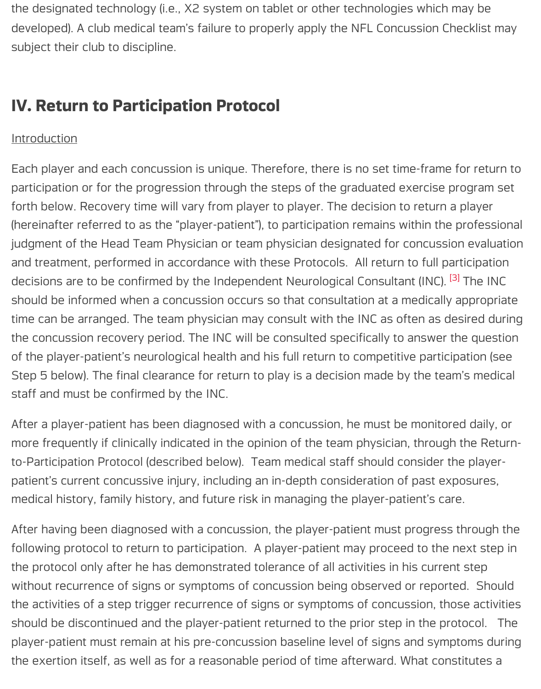### **IV. Return to Participation Protocol**

#### **Introduction**

Each player and each concussion is unique. Therefore, there is no set time-frame for participation or for the progression through the steps of the graduated exercise program forth below. Recovery time will vary from player to player. The decision to return a (hereinafter referred to as the "player-patient"), to participation remains within the p judgment of the Head Team Physician or team physician designated for concussion and treatment, performed in accordance with these Protocols. All return to full par decisions are to be confirmed by the Independent Neurological Consultant (INC). <sup>[3]</sup> should be informed when a concussion occurs so that consultation at a medically a time can be arranged. The team physician may consult with the INC as often as destroing the team physician may consult with the INC as often as destroing time the concussion recovery period. The INC will be consulted specifically to answer the of the player-patient's neurological health and his full return to competitive particip Step 5 below). The final clearance for return to play is a decision made by the te[am](#page-16-1) staff and must be confirmed by the INC.

<span id="page-11-0"></span>After a player-patient has been diagnosed with a concussion, he must be monitore more frequently if clinically indicated in the opinion of the team physician, through to-Participation Protocol (described below). Team medical staff should consider the patient's current concussive injury, including an in-depth consideration of past exp medical history, family history, and future risk in managing the player-patient's care.

After having been diagnosed with a concussion, the player-patient must progress t following protocol to return to participation. A player-patient may proceed to the n the protocol only after he has demonstrated tolerance of all activities in his current without recurrence of signs or symptoms of concussion being observed or reporte the activities of a step trigger recurrence of signs or symptoms of concussion, those should be discontinued and the player-patient returned to the prior step in the prot player-patient must remain at his pre-concussion baseline level of signs and sympt the exertion itself, as well as for a reasonable period of time afterward. What constitute a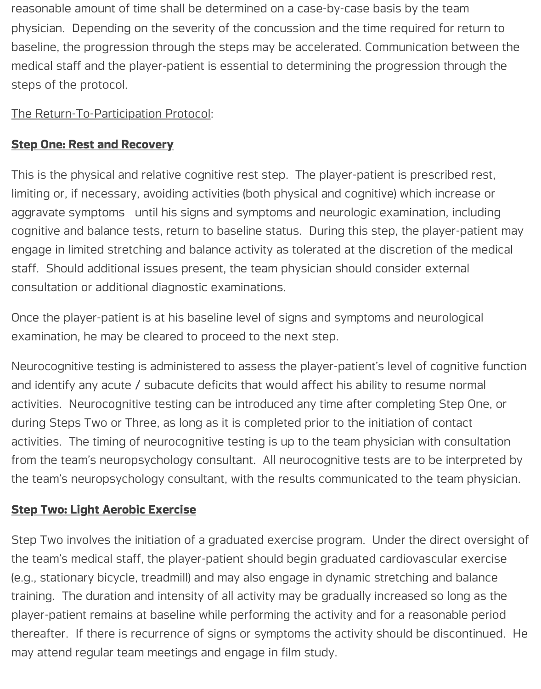reasonable amount of time shall be determined on a case-by-case basis by the team physician. Depending on the severity of the concussion and the time required for return to baseline, the progression through the steps may be accelerated. Communication between the medical staff and the player-patient is essential to determining the progression through the steps of the protocol.

The Return-To-Participation Protocol:

### **Step One: Rest and Recovery**

This is the physical and relative cognitive rest step. The player-patient is prescribed rest, limiting or, if necessary, avoiding activities (both physical and cognitive) which increase or aggravate symptoms until his signs and symptoms and neurologic examination, including cognitive and balance tests, return to baseline status. During this step, the player-patient may engage in limited stretching and balance activity as tolerated at the discretion of the medical staff. Should additional issues present, the team physician should consider external consultation or additional diagnostic examinations.

Once the player-patient is at his baseline level of signs and symptoms and neurological examination, he may be cleared to proceed to the next step.

Neurocognitive testing is administered to assess the player-patient's level of cognitive function and identify any acute / subacute deficits that would affect his ability to resume normal activities. Neurocognitive testing can be introduced any time after completing Step One, or during Steps Two or Three, as long as it is completed prior to the initiation of contact activities. The timing of neurocognitive testing is up to the team physician with consultation from the team's neuropsychology consultant. All neurocognitive tests are to be interpreted by the team's neuropsychology consultant, with the results communicated to the team physician.

### **Step Two: Light Aerobic Exercise**

Step Two involves the initiation of a graduated exercise program. Under the direct oversight of the team's medical staff, the player-patient should begin graduated cardiovascular exercise (e.g., stationary bicycle, treadmill) and may also engage in dynamic stretching and balance training. The duration and intensity of all activity may be gradually increased so long as the player-patient remains at baseline while performing the activity and for a reasonable period thereafter. If there is recurrence of signs or symptoms the activity should be discontinued. He may attend regular team meetings and engage in film study.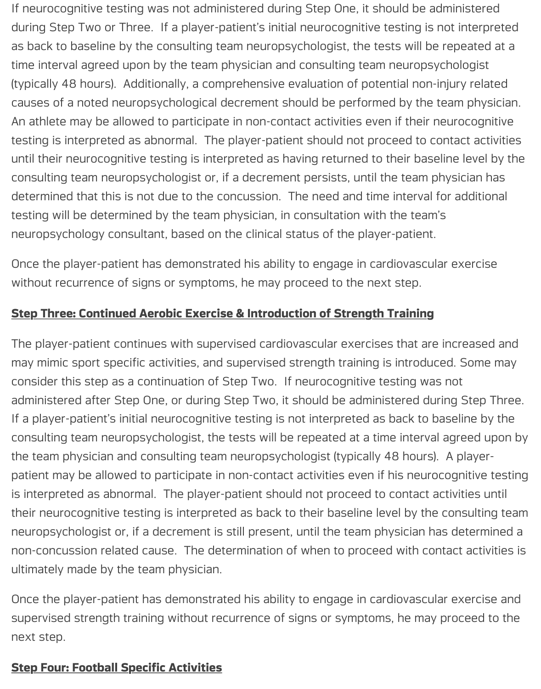If neurocognitive testing was not administered during Step One, it should be administered during Step Two or Three. If a player-patient's initial neurocognitive testing is not interpreted as back to baseline by the consulting team neuropsychologist, the tests will be repeated at a time interval agreed upon by the team physician and consulting team neuropsychologist (typically 48 hours). Additionally, a comprehensive evaluation of potential non-injury related causes of a noted neuropsychological decrement should be performed by the team physician. An athlete may be allowed to participate in non-contact activities even if their neurocognitive testing is interpreted as abnormal. The player-patient should not proceed to contact activities until their neurocognitive testing is interpreted as having returned to their baseline level by the consulting team neuropsychologist or, if a decrement persists, until the team physician has determined that this is not due to the concussion. The need and time interval for additional testing will be determined by the team physician, in consultation with the team's neuropsychology consultant, based on the clinical status of the player-patient.

Once the player-patient has demonstrated his ability to engage in cardiovascular exercise without recurrence of signs or symptoms, he may proceed to the next step.

### **Step Three: Continued Aerobic Exercise & Introduction of Strength Training**

The player-patient continues with supervised cardiovascular exercises that are increased and may mimic sport specific activities, and supervised strength training is introduced. Some may consider this step as a continuation of Step Two. If neurocognitive testing was not administered after Step One, or during Step Two, it should be administered during Step Three. If a player-patient's initial neurocognitive testing is not interpreted as back to baseline by the consulting team neuropsychologist, the tests will be repeated at a time interval agreed upon by the team physician and consulting team neuropsychologist (typically 48 hours). A playerpatient may be allowed to participate in non-contact activities even if his neurocognitive testing is interpreted as abnormal. The player-patient should not proceed to contact activities until their neurocognitive testing is interpreted as back to their baseline level by the consulting team neuropsychologist or, if a decrement is still present, until the team physician has determined a non-concussion related cause. The determination of when to proceed with contact activities is ultimately made by the team physician.

Once the player-patient has demonstrated his ability to engage in cardiovascular exercise and supervised strength training without recurrence of signs or symptoms, he may proceed to the next step.

#### **Step Four: Football Specific Activities**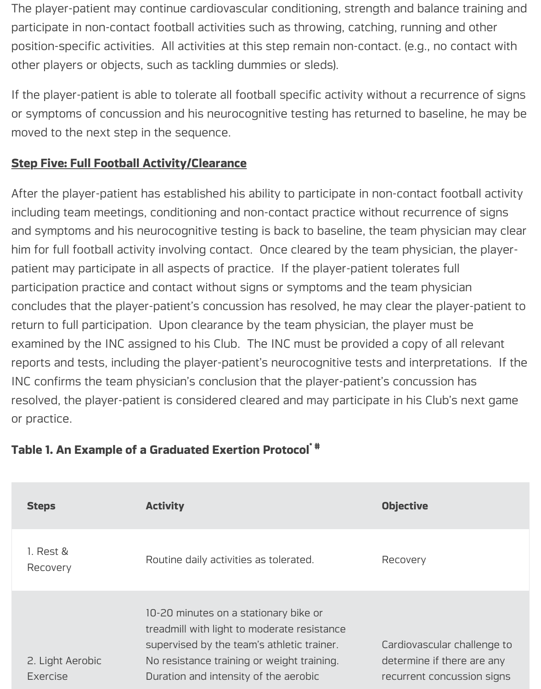The player-patient may continue cardiovascular conditioning, strength and balance training and participate in non-contact football activities such as throwing, catching, running and other position-specific activities. All activities at this step remain non-contact. (e.g., no contact with other players or objects, such as tackling dummies or sleds).

If the player-patient is able to tolerate all football specific activity without a recurrence of signs or symptoms of concussion and his neurocognitive testing has returned to baseline, he may be moved to the next step in the sequence.

### **Step Five: Full Football Activity/Clearance**

After the player-patient has established his ability to participate in non-contact football activity including team meetings, conditioning and non-contact practice without recurrence of signs and symptoms and his neurocognitive testing is back to baseline, the team physician may clear him for full football activity involving contact. Once cleared by the team physician, the playerpatient may participate in all aspects of practice. If the player-patient tolerates full participation practice and contact without signs or symptoms and the team physician concludes that the player-patient's concussion has resolved, he may clear the player-patient to return to full participation. Upon clearance by the team physician, the player must be examined by the INC assigned to his Club. The INC must be provided a copy of all relevant reports and tests, including the player-patient's neurocognitive tests and interpretations. If the INC confirms the team physician's conclusion that the player-patient's concussion has resolved, the player-patient is considered cleared and may participate in his Club's next game or practice.

| <b>Steps</b>                        | <b>Activity</b>                                                                                                                                                                                                           | <b>Objective</b>                                                                        |
|-------------------------------------|---------------------------------------------------------------------------------------------------------------------------------------------------------------------------------------------------------------------------|-----------------------------------------------------------------------------------------|
| 1. Rest &<br>Recovery               | Routine daily activities as tolerated.                                                                                                                                                                                    | Recovery                                                                                |
| 2. Light Aerobic<br><b>Exercise</b> | 10-20 minutes on a stationary bike or<br>treadmill with light to moderate resistance<br>supervised by the team's athletic trainer.<br>No resistance training or weight training.<br>Duration and intensity of the aerobic | Cardiovascular challenge to<br>determine if there are any<br>recurrent concussion signs |

### **Table 1. An Example of a Graduated Exertion Protocol \* #**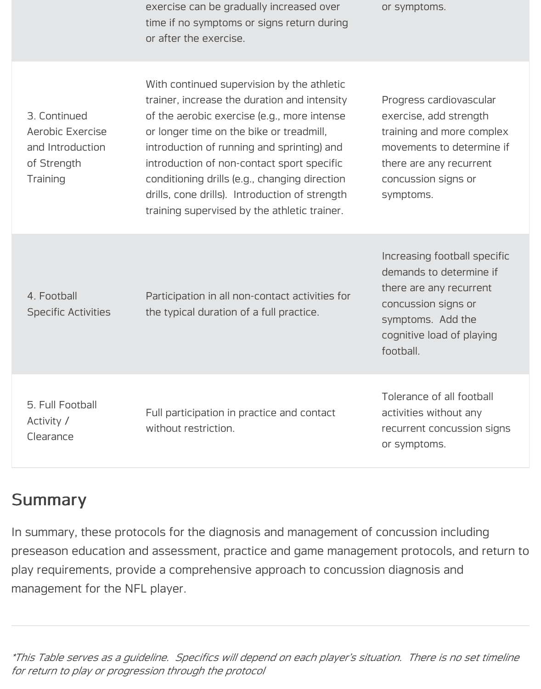| exercise can be gradually increased over   |  |  |
|--------------------------------------------|--|--|
| time if no symptoms or signs return during |  |  |
| or after the exercise.                     |  |  |

or symptoms.

| 3. Continued     |  |  |
|------------------|--|--|
| Aerobic Exercise |  |  |
| and Introduction |  |  |
| of Strength      |  |  |
| Training         |  |  |

With continued supervision by the athletic trainer, increase the duration and intensity of the aerobic exercise (e.g., more intense or longer time on the bike or treadmill, introduction of running and sprinting) and introduction of non-contact sport specific conditioning drills (e.g., changing direction drills, cone drills). Introduction of strength training supervised by the athletic trainer.

Progress cardiovascular exercise, add strength training and more complex movements to determine if there are any recurrent concussion signs or symptoms.

4. Football Specific Activities

Participation in all non-contact activities for the typical duration of a full practice.

Increasing football specific demands to determine if there are any recurrent concussion signs or symptoms. Add the cognitive load of playing football.

5. Full Football Activity / Clearance

Full participation in practice and contact without restriction.

Tolerance of all football activities without any recurrent concussion signs or symptoms.

### Summary

In summary, these protocols for the diagnosis and management of concussion including preseason education and assessment, practice and game management protocols, and return to play requirements, provide a comprehensive approach to concussion diagnosis and management for the NFL player.

*\*This Table serves as a guideline. Specifics will depend on each player's situation. There is no set timeline for return to play or progression through the protocol*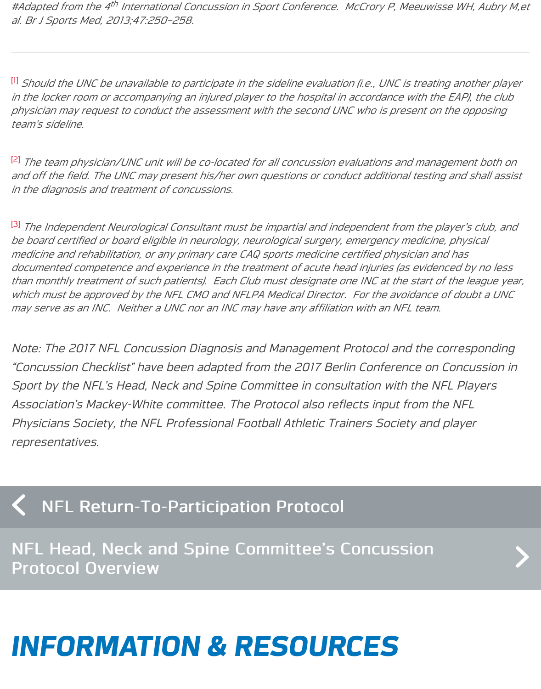in the locker room or accompanying an injured player to the hospital in accordance with the EA *physician may request to conduct the assessment with the second UNC who is present on the opposing team's sideline.*

<span id="page-16-0"></span><sup>[2]</sup> The team physician/UNC unit will be co-located for all concussion evaluations and managen [an](#page-4-0)d off the field. The UNC may present his/her own questions or conduct additional testing and *in the diagnosis and treatment of concussions.*

<sup>[3]</sup> The Independent Neurological Consultant must be impartial and independent from the playe *be board certified or board eligible in neurology, neurological surgery, emergency medicine, physical [m](#page-5-0)edicine and rehabilitation, or any primary care CAQ sports medicine certified physician and has documented competence and experience in the treatment of acute head injuries (as evidenced by no less* than monthly treatment of such patients). Each Club must designate one INC at the start of the which must be approved by the NFL CMO and NFLPA Medical Director. For the avoidance of a *may serve as an INC. Neither a UNC nor an INC may have any affiliation with an NFL team.*

<span id="page-16-1"></span>Note: The 2017 NFL Concussion Diagnosis and Management Protocol and the corre "Concussion Checklist" have been adapted from the 2017 Berlin Conference on Cor Sport by the NFL's Head, Neck and Spine Committee in consultation with the NFL I Association's Mackey-White committee. The Protocol also reflects input from the N Physicians Society, the NFL Professional Football Athletic Trainers Society and pla representatives.

### NFL Return-To-Participation Protocol

NFL Head, Neck and Spine Committee's Concussion<br>Protocol Overview

# *[INFORMATION & RESOURCES](https://www.playsmartplaysafe.com/focus-on-safety/protecting-players/nfl-head-neck-spine-committees-concussion-protocol-overview/)*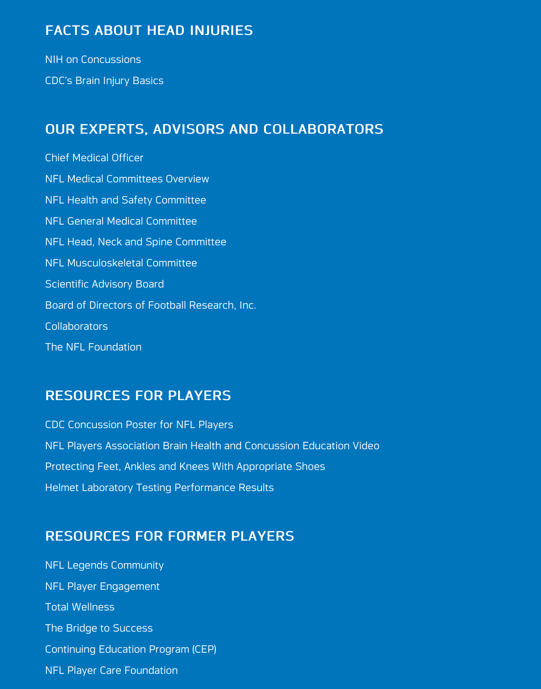### [OUR EXPERTS, ADVISORS AND](https://www.playsmartplaysafe.com/information-and-resources/topic/facts-about-head-injuries/) COLLABORATORS

[Chief Medical Of](https://www.playsmartplaysafe.com/resource/nih-on-concussions/)ficer [NFL Medical Committees](https://www.playsmartplaysafe.com/resource/cdcs-brain-injury-basics/) Overview NFL Health and Safety Committee [NFL General Medical Committee](https://www.playsmartplaysafe.com/information-and-resources/topic/our-experts-advisors/) [NFL Head, Neck and](https://www.playsmartplaysafe.com/resource/chief-medical-officer/) Spine Committee [NFL Musculoskeletal Committee](https://www.playsmartplaysafe.com/resource/nfl-medical-committees-overview/) Scientifi[c Advisory Board](https://www.playsmartplaysafe.com/resource/nfl-health-safety-committee/) [Board of Directors of Football Re](https://www.playsmartplaysafe.com/resource/nfl-general-medical-committee/)search, Inc. [Collaborators](https://www.playsmartplaysafe.com/resource/nfl-head-neck-and-spine-committee/) [The NFL Foundation](https://www.playsmartplaysafe.com/resource/nfl-musculoskeletal-committee/)

### [RESOURCES FOR PLAYERS](https://www.playsmartplaysafe.com/resource/board-directors-football-research-inc/)

[CDC Concuss](https://www.playsmartplaysafe.com/resource/collaborators/)ion Poster for NFL Players [NFL Players Associat](https://www.playsmartplaysafe.com/resource/the-nfl-foundation/)ion Brain Health and Concussion Education Video Protecting Feet, Ankles and Knees With Appropriate Shoes [Helmet Laboratory Testing Performance](https://www.playsmartplaysafe.com/information-and-resources/topic/resources-for-players/) Results

### [RESOURCES FOR FORMER PLAYERS](https://www.playsmartplaysafe.com/resource/nfl-players-association-brain-health-concussion-education-video/)

[NFL Legends Community](https://www.playsmartplaysafe.com/resource/protecting-feet-ankles-and-knees-with-appropriate-shoes/) [NFL Player Engagement](https://www.playsmartplaysafe.com/resource/helmet-laboratory-testing-performance-results/) Total Wellness [The Bridge to Success](https://www.playsmartplaysafe.com/information-and-resources/topic/resources-for-former-players/) [Continuing Education Pro](https://www.playsmartplaysafe.com/resource/nfl-legends-community/)gram (CEP) [NFL Player Care Foundat](https://www.playsmartplaysafe.com/resource/nfl-player-engagement/)ion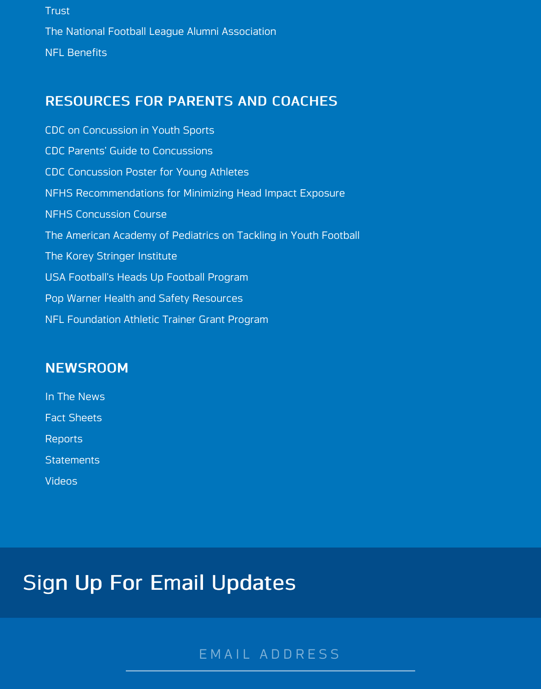#### [RES](https://www.playsmartplaysafe.com/resource/trust/)OURCES FOR PARENTS AND COACHES

[CDC on Concussion in Youth Sports](https://www.playsmartplaysafe.com/resource/national-football-league-alumni-association/) [CDC Parents'](https://www.playsmartplaysafe.com/resource/nfl-benefits/) Guide to Concussions CDC Concussion Poster for Young Athletes [NFHS Recommendations for Minimizing Head Impact Exposur](https://www.playsmartplaysafe.com/information-and-resources/topic/resources-for-parents-and-coaches/)e [NFHS Concussion Course](https://www.playsmartplaysafe.com/resource/cdc-concussion-youth-sports/) [The American Academy of Pediatric](https://www.playsmartplaysafe.com/resource/cdc-parents-guide-concussions/)s on Tackling in Youth Football [The Korey Stringer Institute](https://www.playsmartplaysafe.com/resource/cdc-concussion-poster-for-young-athletes/) [USA Football's Heads Up Football Program](https://www.playsmartplaysafe.com/resource/nfhs-recommendations-for-minimizing-head-impact-exposure/) [Pop Warner Health and Sa](https://www.playsmartplaysafe.com/resource/nfhs-concussion-course/)fety Resources [NFL Foundation Athletic Trainer Grant Program](https://www.playsmartplaysafe.com/resource/american-academy-pediatrics-tackling-2/)

#### **[NEWSROOM](https://www.playsmartplaysafe.com/resource/usa-footballs-heads-football-program/)**

[In The News](https://www.playsmartplaysafe.com/resource/pop-warner-health-safety-resources/) [Fact Sheets](https://www.playsmartplaysafe.com/resource/nfl-foundations-grant-program-athletic-trainers/) Reports **[Statements](https://www.playsmartplaysafe.com/newsroom/)** [Videos](https://www.playsmartplaysafe.com/newsroom/in-the-news/)

## **Si[gn U](https://www.playsmartplaysafe.com/newsroom/videos/)p For Email Updates**

EMAIL ADDRESS